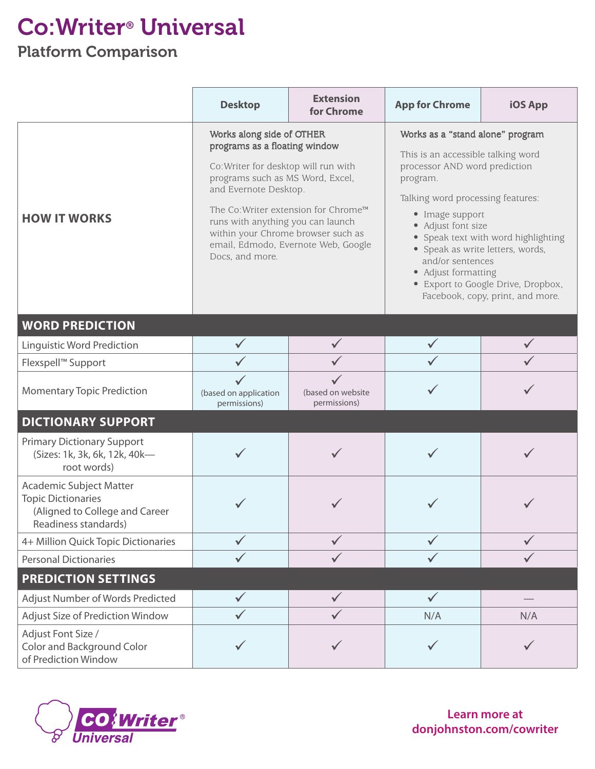## Co:Writer® Universal

## Platform Comparison

|                                                                                                                | <b>Desktop</b>                                                                                                                                                                                                                                                                                                                               | <b>Extension</b><br>for Chrome    | <b>App for Chrome</b>                                                                                                                                                                                                                                                                                                                                                                             | <b>iOS App</b> |
|----------------------------------------------------------------------------------------------------------------|----------------------------------------------------------------------------------------------------------------------------------------------------------------------------------------------------------------------------------------------------------------------------------------------------------------------------------------------|-----------------------------------|---------------------------------------------------------------------------------------------------------------------------------------------------------------------------------------------------------------------------------------------------------------------------------------------------------------------------------------------------------------------------------------------------|----------------|
| <b>HOW IT WORKS</b>                                                                                            | Works along side of OTHER<br>programs as a floating window<br>Co: Writer for desktop will run with<br>programs such as MS Word, Excel,<br>and Evernote Desktop.<br>The Co: Writer extension for Chrome™<br>runs with anything you can launch<br>within your Chrome browser such as<br>email, Edmodo, Evernote Web, Google<br>Docs, and more. |                                   | Works as a "stand alone" program<br>This is an accessible talking word<br>processor AND word prediction<br>program.<br>Talking word processing features:<br>• Image support<br>• Adjust font size<br>• Speak text with word highlighting<br>• Speak as write letters, words,<br>and/or sentences<br>• Adjust formatting<br>• Export to Google Drive, Dropbox,<br>Facebook, copy, print, and more. |                |
| <b>WORD PREDICTION</b>                                                                                         |                                                                                                                                                                                                                                                                                                                                              |                                   |                                                                                                                                                                                                                                                                                                                                                                                                   |                |
| <b>Linguistic Word Prediction</b>                                                                              | $\checkmark$                                                                                                                                                                                                                                                                                                                                 |                                   |                                                                                                                                                                                                                                                                                                                                                                                                   |                |
| Flexspell™ Support                                                                                             |                                                                                                                                                                                                                                                                                                                                              |                                   |                                                                                                                                                                                                                                                                                                                                                                                                   |                |
| <b>Momentary Topic Prediction</b>                                                                              | $\checkmark$<br>(based on application<br>permissions)                                                                                                                                                                                                                                                                                        | (based on website<br>permissions) |                                                                                                                                                                                                                                                                                                                                                                                                   |                |
| <b>DICTIONARY SUPPORT</b>                                                                                      |                                                                                                                                                                                                                                                                                                                                              |                                   |                                                                                                                                                                                                                                                                                                                                                                                                   |                |
| <b>Primary Dictionary Support</b><br>(Sizes: 1k, 3k, 6k, 12k, 40k-<br>root words)                              |                                                                                                                                                                                                                                                                                                                                              |                                   |                                                                                                                                                                                                                                                                                                                                                                                                   |                |
| Academic Subject Matter<br><b>Topic Dictionaries</b><br>(Aligned to College and Career<br>Readiness standards) |                                                                                                                                                                                                                                                                                                                                              |                                   |                                                                                                                                                                                                                                                                                                                                                                                                   |                |
| 4+ Million Quick Topic Dictionaries                                                                            |                                                                                                                                                                                                                                                                                                                                              | $\checkmark$                      |                                                                                                                                                                                                                                                                                                                                                                                                   | $\checkmark$   |
| <b>Personal Dictionaries</b>                                                                                   |                                                                                                                                                                                                                                                                                                                                              | $\checkmark$                      |                                                                                                                                                                                                                                                                                                                                                                                                   |                |
| <b>PREDICTION SETTINGS</b>                                                                                     |                                                                                                                                                                                                                                                                                                                                              |                                   |                                                                                                                                                                                                                                                                                                                                                                                                   |                |
| Adjust Number of Words Predicted                                                                               | $\checkmark$                                                                                                                                                                                                                                                                                                                                 | $\checkmark$                      | $\checkmark$                                                                                                                                                                                                                                                                                                                                                                                      |                |
| Adjust Size of Prediction Window                                                                               |                                                                                                                                                                                                                                                                                                                                              |                                   | N/A                                                                                                                                                                                                                                                                                                                                                                                               | N/A            |
| Adjust Font Size /<br><b>Color and Background Color</b><br>of Prediction Window                                |                                                                                                                                                                                                                                                                                                                                              |                                   | $\checkmark$                                                                                                                                                                                                                                                                                                                                                                                      | $\checkmark$   |



**Learn more at donjohnston.com/cowriter**